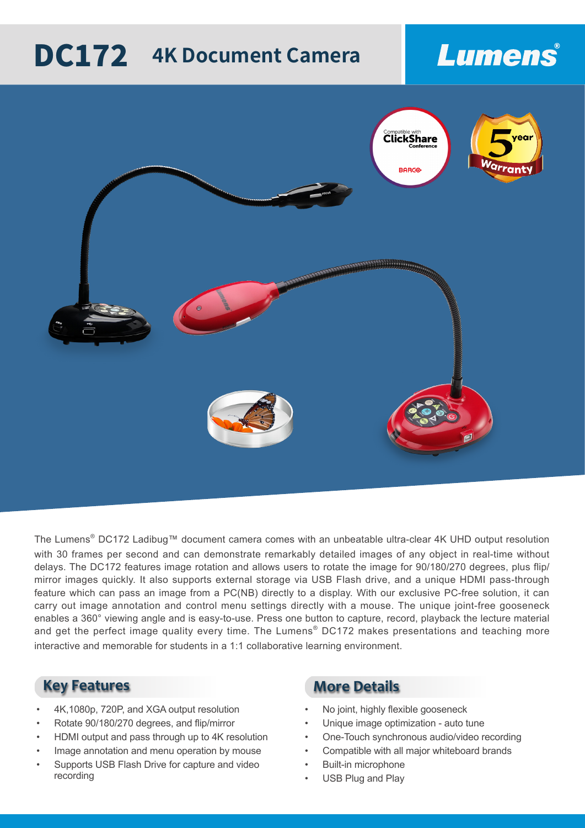# **DC172** 4K Document Camera

## Lumens



The Lumens<sup>®</sup> DC172 Ladibug™ document camera comes with an unbeatable ultra-clear 4K UHD output resolution with 30 frames per second and can demonstrate remarkably detailed images of any object in real-time without delays. The DC172 features image rotation and allows users to rotate the image for 90/180/270 degrees, plus flip/ mirror images quickly. It also supports external storage via USB Flash drive, and a unique HDMI pass-through feature which can pass an image from a PC(NB) directly to a display. With our exclusive PC-free solution, it can carry out image annotation and control menu settings directly with a mouse. The unique joint-free gooseneck enables a 360° viewing angle and is easy-to-use. Press one button to capture, record, playback the lecture material and get the perfect image quality every time. The Lumens<sup>®</sup> DC172 makes presentations and teaching more interactive and memorable for students in a 1:1 collaborative learning environment.

- 4K,1080p, 720P, and XGA output resolution
- Rotate 90/180/270 degrees, and flip/mirror
- HDMI output and pass through up to 4K resolution
- Image annotation and menu operation by mouse
- Supports USB Flash Drive for capture and video recording

### **Key Features More Details**

- No joint, highly flexible gooseneck
- Unique image optimization auto tune
- One-Touch synchronous audio/video recording
- Compatible with all major whiteboard brands
- **Built-in microphone**
- USB Plug and Play